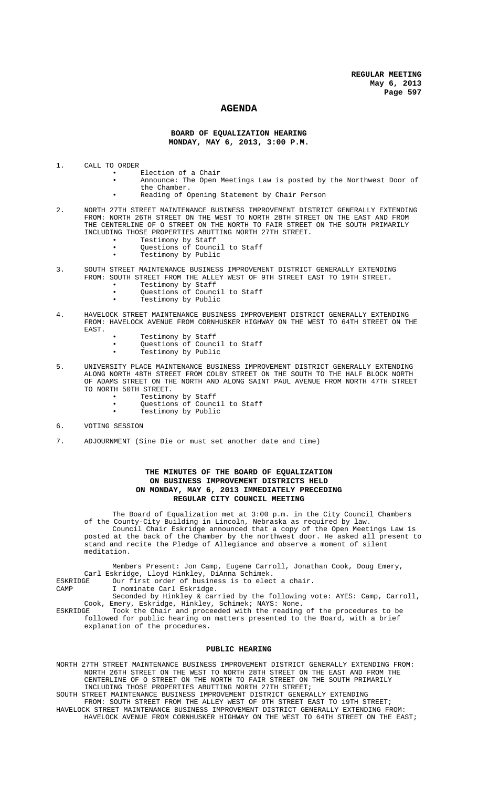## **AGENDA**

### **BOARD OF EQUALIZATION HEARING MONDAY, MAY 6, 2013, 3:00 P.M.**

- 1. CALL TO ORDER
	- Election of a Chair<br>• Announce: The Open 1
	- Announce: The Open Meetings Law is posted by the Northwest Door of the Chamber.
	- Reading of Opening Statement by Chair Person
- 2. NORTH 27TH STREET MAINTENANCE BUSINESS IMPROVEMENT DISTRICT GENERALLY EXTENDING FROM: NORTH 26TH STREET ON THE WEST TO NORTH 28TH STREET ON THE EAST AND FROM THE CENTERLINE OF O STREET ON THE NORTH TO FAIR STREET ON THE SOUTH PRIMARILY INCLUDING THOSE PROPERTIES ABUTTING NORTH 27TH STREET.
	- Testimony by Staff
		- Questions of Council to Staff
		- Testimony by Public
- 3. SOUTH STREET MAINTENANCE BUSINESS IMPROVEMENT DISTRICT GENERALLY EXTENDING FROM: SOUTH STREET FROM THE ALLEY WEST OF 9TH STREET EAST TO 19TH STREET.
	- Testimony by Staff • Questions of Council to Staff
		- Testimony by Public
- 4. HAVELOCK STREET MAINTENANCE BUSINESS IMPROVEMENT DISTRICT GENERALLY EXTENDING FROM: HAVELOCK AVENUE FROM CORNHUSKER HIGHWAY ON THE WEST TO 64TH STREET ON THE EAST.
	- Testimony by Staff
	- Questions of Council to Staff
	- Testimony by Public
- 5. UNIVERSITY PLACE MAINTENANCE BUSINESS IMPROVEMENT DISTRICT GENERALLY EXTENDING ALONG NORTH 48TH STREET FROM COLBY STREET ON THE SOUTH TO THE HALF BLOCK NORTH OF ADAMS STREET ON THE NORTH AND ALONG SAINT PAUL AVENUE FROM NORTH 47TH STREET TO NORTH 50TH STREET.
	- Testimony by Staff
	- Questions of Council to Staff
	- Testimony by Public
- 6. VOTING SESSION
- 7. ADJOURNMENT (Sine Die or must set another date and time)

## **THE MINUTES OF THE BOARD OF EQUALIZATION ON BUSINESS IMPROVEMENT DISTRICTS HELD ON MONDAY, MAY 6, 2013 IMMEDIATELY PRECEDING REGULAR CITY COUNCIL MEETING**

The Board of Equalization met at 3:00 p.m. in the City Council Chambers of the County-City Building in Lincoln, Nebraska as required by law. Council Chair Eskridge announced that a copy of the Open Meetings Law is posted at the back of the Chamber by the northwest door. He asked all present to stand and recite the Pledge of Allegiance and observe a moment of silent meditation.

Members Present: Jon Camp, Eugene Carroll, Jonathan Cook, Doug Emery, Carl Eskridge, Lloyd Hinkley, DiAnna Schimek. ESKRIDGE Our first order of business is to elect a chair. CAMP I nominate Carl Eskridge.

Seconded by Hinkley & carried by the following vote: AYES: Camp, Carroll, Cook, Emery, Eskridge, Hinkley, Schimek; NAYS: None.

ESKRIDGE Took the Chair and proceeded with the reading of the procedures to be followed for public hearing on matters presented to the Board, with a brief explanation of the procedures.

### **PUBLIC HEARING**

NORTH 27TH STREET MAINTENANCE BUSINESS IMPROVEMENT DISTRICT GENERALLY EXTENDING FROM: NORTH 26TH STREET ON THE WEST TO NORTH 28TH STREET ON THE EAST AND FROM THE CENTERLINE OF O STREET ON THE NORTH TO FAIR STREET ON THE SOUTH PRIMARILY INCLUDING THOSE PROPERTIES ABUTTING NORTH 27TH STREET;

SOUTH STREET MAINTENANCE BUSINESS IMPROVEMENT DISTRICT GENERALLY EXTENDING

FROM: SOUTH STREET FROM THE ALLEY WEST OF 9TH STREET EAST TO 19TH STREET; HAVELOCK STREET MAINTENANCE BUSINESS IMPROVEMENT DISTRICT GENERALLY EXTENDING FROM: HAVELOCK AVENUE FROM CORNHUSKER HIGHWAY ON THE WEST TO 64TH STREET ON THE EAST;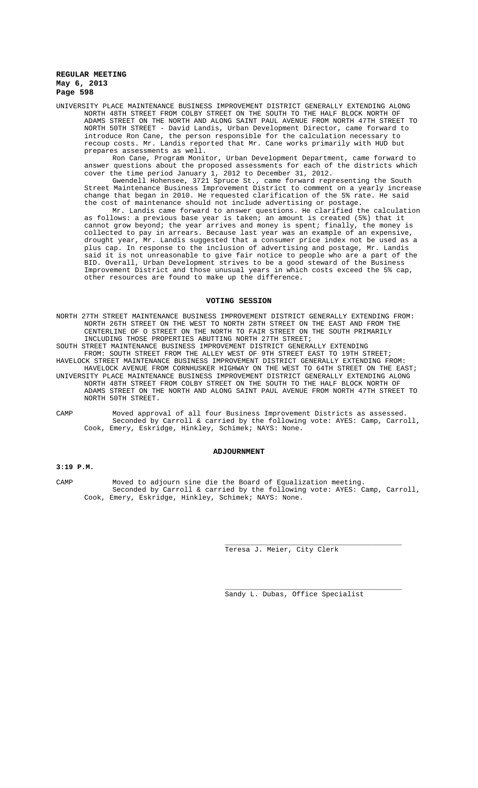UNIVERSITY PLACE MAINTENANCE BUSINESS IMPROVEMENT DISTRICT GENERALLY EXTENDING ALONG NORTH 48TH STREET FROM COLBY STREET ON THE SOUTH TO THE HALF BLOCK NORTH OF ADAMS STREET ON THE NORTH AND ALONG SAINT PAUL AVENUE FROM NORTH 47TH STREET TO NORTH 50TH STREET - David Landis, Urban Development Director, came forward to the person responsible for the calculation necessary to recoup costs. Mr. Landis reported that Mr. Cane works primarily with HUD but prepares assessments as well.

Ron Cane, Program Monitor, Urban Development Department, came forward to answer questions about the proposed assessments for each of the districts which cover the time period January 1, 2012 to December 31, 2012.

Gwendell Hohensee, 3721 Spruce St., came forward representing the South Street Maintenance Business Improvement District to comment on a yearly increase change that began in 2010. He requested clarification of the 5% rate. He said the cost of maintenance should not include advertising or postage.

Mr. Landis came forward to answer questions. He clarified the calculation as follows: a previous base year is taken; an amount is created (5%) that it cannot grow beyond; the year arrives and money is spent; finally, the money is collected to pay in arrears. Because last year was an example of an expensive, drought year, Mr. Landis suggested that a consumer price index not be used as a plus cap. In response to the inclusion of advertising and postage, Mr. Landis said it is not unreasonable to give fair notice to people who are a part of the BID. Overall, Urban Development strives to be a good steward of the Business Improvement District and those unusual years in which costs exceed the 5% cap, other resources are found to make up the difference.

#### **VOTING SESSION**

NORTH 27TH STREET MAINTENANCE BUSINESS IMPROVEMENT DISTRICT GENERALLY EXTENDING FROM: NORTH 26TH STREET ON THE WEST TO NORTH 28TH STREET ON THE EAST AND FROM THE CENTERLINE OF O STREET ON THE NORTH TO FAIR STREET ON THE SOUTH PRIMARILY INCLUDING THOSE PROPERTIES ABUTTING NORTH 27TH STREET;

SOUTH STREET MAINTENANCE BUSINESS IMPROVEMENT DISTRICT GENERALLY EXTENDING FROM: SOUTH STREET FROM THE ALLEY WEST OF 9TH STREET EAST TO 19TH STREET; HAVELOCK STREET MAINTENANCE BUSINESS IMPROVEMENT DISTRICT GENERALLY EXTENDING FROM:

HAVELOCK AVENUE FROM CORNHUSKER HIGHWAY ON THE WEST TO 64TH STREET ON THE EAST; UNIVERSITY PLACE MAINTENANCE BUSINESS IMPROVEMENT DISTRICT GENERALLY EXTENDING ALONG NORTH 48TH STREET FROM COLBY STREET ON THE SOUTH TO THE HALF BLOCK NORTH OF ADAMS STREET ON THE NORTH AND ALONG SAINT PAUL AVENUE FROM NORTH 47TH STREET TO

CAMP Moved approval of all four Business Improvement Districts as assessed. Seconded by Carroll & carried by the following vote: AYES: Camp, Carroll, Cook, Emery, Eskridge, Hinkley, Schimek; NAYS: None.

### **ADJOURNMENT**

## **3:19 P.M.**

NORTH 50TH STREET.

CAMP Moved to adjourn sine die the Board of Equalization meeting. Seconded by Carroll & carried by the following vote: AYES: Camp, Carroll, Cook, Emery, Eskridge, Hinkley, Schimek; NAYS: None.

Teresa J. Meier, City Clerk

Sandy L. Dubas, Office Specialist

\_\_\_\_\_\_\_\_\_\_\_\_\_\_\_\_\_\_\_\_\_\_\_\_\_\_\_\_\_\_\_\_\_\_\_\_\_\_\_\_\_\_

\_\_\_\_\_\_\_\_\_\_\_\_\_\_\_\_\_\_\_\_\_\_\_\_\_\_\_\_\_\_\_\_\_\_\_\_\_\_\_\_\_\_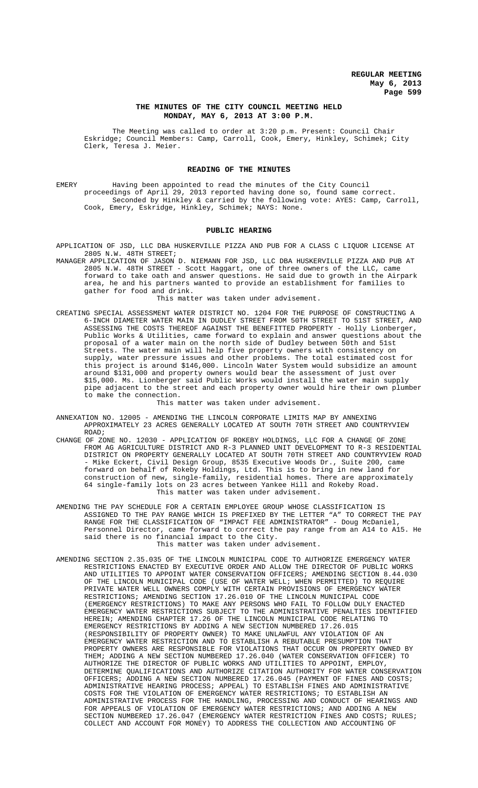## **THE MINUTES OF THE CITY COUNCIL MEETING HELD MONDAY, MAY 6, 2013 AT 3:00 P.M.**

The Meeting was called to order at 3:20 p.m. Present: Council Chair Eskridge; Council Members: Camp, Carroll, Cook, Emery, Hinkley, Schimek; City Clerk, Teresa J. Meier.

### **READING OF THE MINUTES**

EMERY Having been appointed to read the minutes of the City Council proceedings of April 29, 2013 reported having done so, found same correct. Seconded by Hinkley & carried by the following vote: AYES: Camp, Carroll, Cook, Emery, Eskridge, Hinkley, Schimek; NAYS: None.

#### **PUBLIC HEARING**

- APPLICATION OF JSD, LLC DBA HUSKERVILLE PIZZA AND PUB FOR A CLASS C LIQUOR LICENSE AT 2805 N.W. 48TH STREET;
- MANAGER APPLICATION OF JASON D. NIEMANN FOR JSD, LLC DBA HUSKERVILLE PIZZA AND PUB AT 2805 N.W. 48TH STREET - Scott Haggart, one of three owners of the LLC, came forward to take oath and answer questions. He said due to growth in the Airpark area, he and his partners wanted to provide an establishment for families to gather for food and drink.

This matter was taken under advisement.

CREATING SPECIAL ASSESSMENT WATER DISTRICT NO. 1204 FOR THE PURPOSE OF CONSTRUCTING A 6-INCH DIAMETER WATER MAIN IN DUDLEY STREET FROM 50TH STREET TO 51ST STREET, AND ASSESSING THE COSTS THEREOF AGAINST THE BENEFITTED PROPERTY - Holly Lionberger, Public Works & Utilities, came forward to explain and answer questions about the proposal of a water main on the north side of Dudley between 50th and 51st Streets. The water main will help five property owners with consistency on supply, water pressure issues and other problems. The total estimated cost for this project is around \$146,000. Lincoln Water System would subsidize an amount around \$131,000 and property owners would bear the assessment of just over \$15,000. Ms. Lionberger said Public Works would install the water main supply pipe adjacent to the street and each property owner would hire their own plumber to make the connection.

This matter was taken under advisement.

- ANNEXATION NO. 12005 AMENDING THE LINCOLN CORPORATE LIMITS MAP BY ANNEXING APPROXIMATELY 23 ACRES GENERALLY LOCATED AT SOUTH 70TH STREET AND COUNTRYVIEW ROAD;
- CHANGE OF ZONE NO. 12030 APPLICATION OF ROKEBY HOLDINGS, LLC FOR A CHANGE OF ZONE FROM AG AGRICULTURE DISTRICT AND R-3 PLANNED UNIT DEVELOPMENT TO R-3 RESIDENTIAL DISTRICT ON PROPERTY GENERALLY LOCATED AT SOUTH 70TH STREET AND COUNTRYVIEW ROAD Mike Eckert, Civil Design Group, 8535 Executive Woods Dr., Suite 200, came forward on behalf of Rokeby Holdings, Ltd. This is to bring in new land for construction of new, single-family, residential homes. There are approximately 64 single-family lots on 23 acres between Yankee Hill and Rokeby Road. This matter was taken under advisement.
- AMENDING THE PAY SCHEDULE FOR A CERTAIN EMPLOYEE GROUP WHOSE CLASSIFICATION IS ASSIGNED TO THE PAY RANGE WHICH IS PREFIXED BY THE LETTER "A" TO CORRECT THE PAY RANGE FOR THE CLASSIFICATION OF "IMPACT FEE ADMINISTRATOR" - Doug McDaniel, Personnel Director, came forward to correct the pay range from an A14 to A15. He said there is no financial impact to the City. This matter was taken under advisement.
- AMENDING SECTION 2.35.035 OF THE LINCOLN MUNICIPAL CODE TO AUTHORIZE EMERGENCY WATER RESTRICTIONS ENACTED BY EXECUTIVE ORDER AND ALLOW THE DIRECTOR OF PUBLIC WORKS AND UTILITIES TO APPOINT WATER CONSERVATION OFFICERS; AMENDING SECTION 8.44.030 OF THE LINCOLN MUNICIPAL CODE (USE OF WATER WELL; WHEN PERMITTED) TO REQUIRE PRIVATE WATER WELL OWNERS COMPLY WITH CERTAIN PROVISIONS OF EMERGENCY WATER RESTRICTIONS; AMENDING SECTION 17.26.010 OF THE LINCOLN MUNICIPAL CODE (EMERGENCY RESTRICTIONS) TO MAKE ANY PERSONS WHO FAIL TO FOLLOW DULY ENACTED EMERGENCY WATER RESTRICTIONS SUBJECT TO THE ADMINISTRATIVE PENALTIES IDENTIFIED HEREIN; AMENDING CHAPTER 17.26 OF THE LINCOLN MUNICIPAL CODE RELATING TO EMERGENCY RESTRICTIONS BY ADDING A NEW SECTION NUMBERED 17.26.015 (RESPONSIBILITY OF PROPERTY OWNER) TO MAKE UNLAWFUL ANY VIOLATION OF AN EMERGENCY WATER RESTRICTION AND TO ESTABLISH A REBUTABLE PRESUMPTION THAT PROPERTY OWNERS ARE RESPONSIBLE FOR VIOLATIONS THAT OCCUR ON PROPERTY OWNED BY THEM; ADDING A NEW SECTION NUMBERED 17.26.040 (WATER CONSERVATION OFFICER) TO AUTHORIZE THE DIRECTOR OF PUBLIC WORKS AND UTILITIES TO APPOINT, EMPLOY, DETERMINE QUALIFICATIONS AND AUTHORIZE CITATION AUTHORITY FOR WATER CONSERVATION OFFICERS; ADDING A NEW SECTION NUMBERED 17.26.045 (PAYMENT OF FINES AND COSTS; ADMINISTRATIVE HEARING PROCESS; APPEAL) TO ESTABLISH FINES AND ADMINISTRATIVE COSTS FOR THE VIOLATION OF EMERGENCY WATER RESTRICTIONS; TO ESTABLISH AN ADMINISTRATIVE PROCESS FOR THE HANDLING, PROCESSING AND CONDUCT OF HEARINGS AND FOR APPEALS OF VIOLATION OF EMERGENCY WATER RESTRICTIONS; AND ADDING A NEW SECTION NUMBERED 17.26.047 (EMERGENCY WATER RESTRICTION FINES AND COSTS; RULES; COLLECT AND ACCOUNT FOR MONEY) TO ADDRESS THE COLLECTION AND ACCOUNTING OF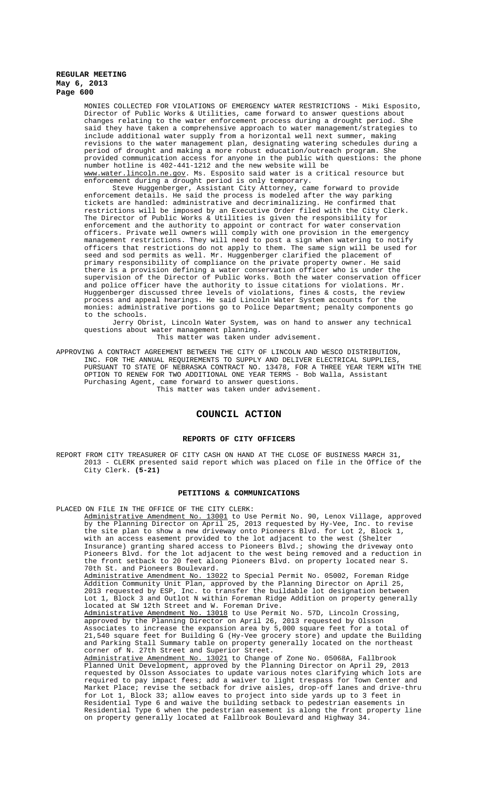MONIES COLLECTED FOR VIOLATIONS OF EMERGENCY WATER RESTRICTIONS - Miki Esposito, Director of Public Works & Utilities, came forward to answer questions about changes relating to the water enforcement process during a drought period. She said they have taken a comprehensive approach to water management/strategies to include additional water supply from a horizontal well next summer, making revisions to the water management plan, designating watering schedules during a period of drought and making a more robust education/outreach program. She provided communication access for anyone in the public with questions: the phone number hotline is 402-441-1212 and the new website will be www.water.lincoln.ne.gov. Ms. Esposito said water is a critical resource but

enforcement during a drought period is only temporary. Steve Huggenberger, Assistant City Attorney, came forward to provide enforcement details. He said the process is modeled after the way parking tickets are handled: administrative and decriminalizing. He confirmed that restrictions will be imposed by an Executive Order filed with the City Clerk. The Director of Public Works & Utilities is given the responsibility for enforcement and the authority to appoint or contract for water conservation officers. Private well owners will comply with one provision in the emergency management restrictions. They will need to post a sign when watering to notify officers that restrictions do not apply to them. The same sign will be used for seed and sod permits as well. Mr. Huggenberger clarified the placement of primary responsibility of compliance on the private property owner. He said there is a provision defining a water conservation officer who is under the supervision of the Director of Public Works. Both the water conservation officer and police officer have the authority to issue citations for violations. Mr. Huggenberger discussed three levels of violations, fines & costs, the review process and appeal hearings. He said Lincoln Water System accounts for the monies: administrative portions go to Police Department; penalty components go to the schools.

Jerry Obrist, Lincoln Water System, was on hand to answer any technical questions about water management planning.

This matter was taken under advisement.

APPROVING A CONTRACT AGREEMENT BETWEEN THE CITY OF LINCOLN AND WESCO DISTRIBUTION, INC. FOR THE ANNUAL REQUIREMENTS TO SUPPLY AND DELIVER ELECTRICAL SUPPLIES, PURSUANT TO STATE OF NEBRASKA CONTRACT NO. 13478, FOR A THREE YEAR TERM WITH THE OPTION TO RENEW FOR TWO ADDITIONAL ONE YEAR TERMS - Bob Walla, Assistant Purchasing Agent, came forward to answer questions. This matter was taken under advisement.

### **COUNCIL ACTION**

#### **REPORTS OF CITY OFFICERS**

REPORT FROM CITY TREASURER OF CITY CASH ON HAND AT THE CLOSE OF BUSINESS MARCH 31, 2013 - CLERK presented said report which was placed on file in the Office of the City Clerk. **(5-21)**

#### **PETITIONS & COMMUNICATIONS**

PLACED ON FILE IN THE OFFICE OF THE CITY CLERK:

Administrative Amendment No. 13001 to Use Permit No. 90, Lenox Village, approved by the Planning Director on April 25, 2013 requested by Hy-Vee, Inc. to revise the site plan to show a new driveway onto Pioneers Blvd. for Lot 2, Block 1, with an access easement provided to the lot adjacent to the west (Shelter Insurance) granting shared access to Pioneers Blvd.; showing the driveway onto Pioneers Blvd. for the lot adjacent to the west being removed and a reduction in the front setback to 20 feet along Pioneers Blvd. on property located near S. 70th St. and Pioneers Boulevard.

Administrative Amendment No. 13022 to Special Permit No. 05002, Foreman Ridge Addition Community Unit Plan, approved by the Planning Director on April 25, 2013 requested by ESP, Inc. to transfer the buildable lot designation between<br>Lot 1, Block 3 and Outlot N within Foreman Ridge Addition on property general 1, Block 3 and Outlot N within Foreman Ridge Addition on property generally located at SW 12th Street and W. Foreman Drive.

Administrative Amendment No. 13018 to Use Permit No. 57D, Lincoln Crossing, approved by the Planning Director on April 26, 2013 requested by Olsson Associates to increase the expansion area by 5,000 square feet for a total of 21,540 square feet for Building G (Hy-Vee grocery store) and update the Building and Parking Stall Summary table on property generally located on the northeast corner of N. 27th Street and Superior Street.

Administrative Amendment No. 13021 to Change of Zone No. 05068A, Fallbrook Planned Unit Development, approved by the Planning Director on April 29, 2013 requested by Olsson Associates to update various notes clarifying which lots are required to pay impact fees; add a waiver to light trespass for Town Center and Market Place; revise the setback for drive aisles, drop-off lanes and drive-thru for Lot 1, Block 33; allow eaves to project into side yards up to 3 feet in Residential Type 6 and waive the building setback to pedestrian easements in Residential Type 6 when the pedestrian easement is along the front property line on property generally located at Fallbrook Boulevard and Highway 34.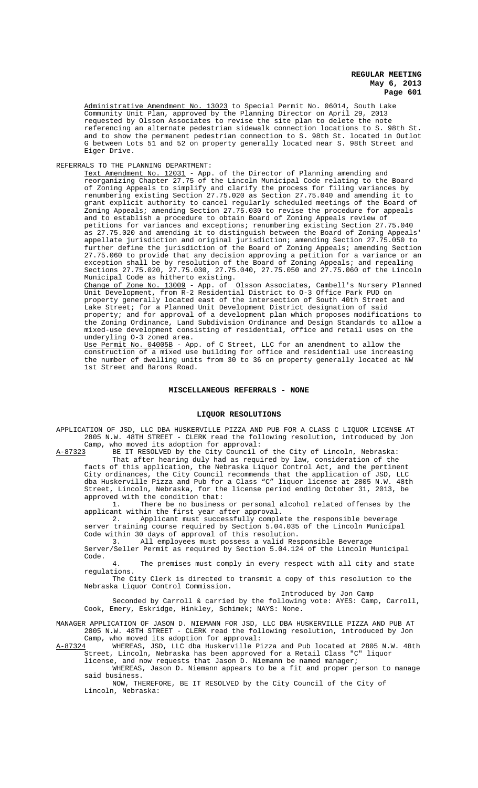Administrative Amendment No. 13023 to Special Permit No. 06014, South Lake Community Unit Plan, approved by the Planning Director on April 29, 2013 requested by Olsson Associates to revise the site plan to delete the note referencing an alternate pedestrian sidewalk connection locations to S. 98th St. and to show the permanent pedestrian connection to S. 98th St. located in Outlot G between Lots 51 and 52 on property generally located near S. 98th Street and Eiger Drive.

REFERRALS TO THE PLANNING DEPARTMENT:

Text Amendment No. 12031 - App. of the Director of Planning amending and reorganizing Chapter 27.75 of the Lincoln Municipal Code relating to the Board of Zoning Appeals to simplify and clarify the process for filing variances by renumbering existing Section 27.75.020 as Section 27.75.040 and amending it to grant explicit authority to cancel regularly scheduled meetings of the Board of Zoning Appeals; amending Section 27.75.030 to revise the procedure for appeals and to establish a procedure to obtain Board of Zoning Appeals review of petitions for variances and exceptions; renumbering existing Section 27.75.040 as 27.75.020 and amending it to distinguish between the Board of Zoning Appeals' appellate jurisdiction and original jurisdiction; amending Section 27.75.050 to further define the jurisdiction of the Board of Zoning Appeals; amending Section 27.75.060 to provide that any decision approving a petition for a variance or an exception shall be by resolution of the Board of Zoning Appeals; and repealing Sections 27.75.020, 27.75.030, 27.75.040, 27.75.050 and 27.75.060 of the Lincoln Municipal Code as hitherto existing.

Change of Zone No. 13009 - App. of Olsson Associates, Cambell's Nursery Planned Unit Development, from R-2 Residential District to O-3 Office Park PUD on property generally located east of the intersection of South 40th Street and Lake Street; for a Planned Unit Development District designation of said property; and for approval of a development plan which proposes modifications to the Zoning Ordinance, Land Subdivision Ordinance and Design Standards to allow a mixed-use development consisting of residential, office and retail uses on the underyling O-3 zoned area.

Use Permit No. 04005B - App. of C Street, LLC for an amendment to allow the construction of a mixed use building for office and residential use increasing the number of dwelling units from 30 to 36 on property generally located at NW 1st Street and Barons Road.

#### **MISCELLANEOUS REFERRALS - NONE**

#### **LIQUOR RESOLUTIONS**

APPLICATION OF JSD, LLC DBA HUSKERVILLE PIZZA AND PUB FOR A CLASS C LIQUOR LICENSE AT 2805 N.W. 48TH STREET - CLERK read the following resolution, introduced by Jon Camp, who moved its adoption for approval:

A-87323 BE IT RESOLVED by the City Council of the City of Lincoln, Nebraska: That after hearing duly had as required by law, consideration of the facts of this application, the Nebraska Liquor Control Act, and the pertinent City ordinances, the City Council recommends that the application of JSD, LLC dba Huskerville Pizza and Pub for a Class "C" liquor license at 2805 N.W. 48th Street, Lincoln, Nebraska, for the license period ending October 31, 2013, be

approved with the condition that: 1. There be no business or personal alcohol related offenses by the applicant within the first year after approval.

2. Applicant must successfully complete the responsible beverage server training course required by Section 5.04.035 of the Lincoln Municipal Code within 30 days of approval of this resolution.

3. All employees must possess a valid Responsible Beverage

Server/Seller Permit as required by Section 5.04.124 of the Lincoln Municipal Code.

4. The premises must comply in every respect with all city and state regulations.

The City Clerk is directed to transmit a copy of this resolution to the Nebraska Liquor Control Commission.

Introduced by Jon Camp

Seconded by Carroll & carried by the following vote: AYES: Camp, Carroll, Cook, Emery, Eskridge, Hinkley, Schimek; NAYS: None.

MANAGER APPLICATION OF JASON D. NIEMANN FOR JSD, LLC DBA HUSKERVILLE PIZZA AND PUB AT 2805 N.W. 48TH STREET - CLERK read the following resolution, introduced by Jon Camp, who moved its adoption for approval:

A-87324 WHEREAS, JSD, LLC dba Huskerville Pizza and Pub located at 2805 N.W. 48th<br>Street, Lincoln, Nebraska has been approved for a Retail Class "C" liquor -<br>Street, Lincoln, Nebraska has been approved for a Retail Class "C"

license, and now requests that Jason D. Niemann be named manager; WHEREAS, Jason D. Niemann appears to be a fit and proper person to manage

said business. NOW, THEREFORE, BE IT RESOLVED by the City Council of the City of Lincoln, Nebraska: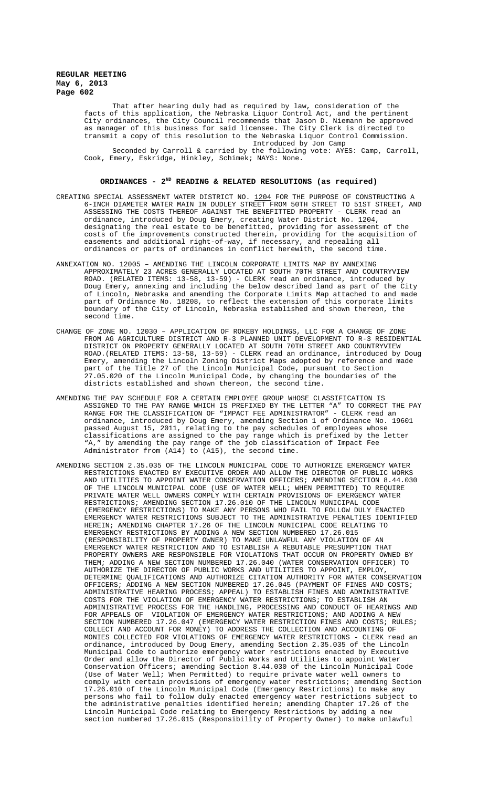That after hearing duly had as required by law, consideration of the facts of this application, the Nebraska Liquor Control Act, and the pertinent City ordinances, the City Council recommends that Jason D. Niemann be approved as manager of this business for said licensee. The City Clerk is directed to transmit a copy of this resolution to the Nebraska Liquor Control Commission. Introduced by Jon Camp

Seconded by Carroll & carried by the following vote: AYES: Camp, Carroll, Cook, Emery, Eskridge, Hinkley, Schimek; NAYS: None.

### **ORDINANCES - 2ND READING & RELATED RESOLUTIONS (as required)**

- CREATING SPECIAL ASSESSMENT WATER DISTRICT NO. 1204 FOR THE PURPOSE OF CONSTRUCTING A 6-INCH DIAMETER WATER MAIN IN DUDLEY STREET FROM 50TH STREET TO 51ST STREET, AND ASSESSING THE COSTS THEREOF AGAINST THE BENEFITTED PROPERTY - CLERK read an ordinance, introduced by Doug Emery, creating Water District No. 1204, designating the real estate to be benefitted, providing for assessment of the costs of the improvements constructed therein, providing for the acquisition of easements and additional right-of-way, if necessary, and repealing all ordinances or parts of ordinances in conflict herewith, the second time.
- ANNEXATION NO. 12005 AMENDING THE LINCOLN CORPORATE LIMITS MAP BY ANNEXING APPROXIMATELY 23 ACRES GENERALLY LOCATED AT SOUTH 70TH STREET AND COUNTRYVIEW ROAD. (RELATED ITEMS: 13-58, 13-59) - CLERK read an ordinance, introduced by Doug Emery, annexing and including the below described land as part of the City of Lincoln, Nebraska and amending the Corporate Limits Map attached to and made part of Ordinance No. 18208, to reflect the extension of this corporate limits boundary of the City of Lincoln, Nebraska established and shown thereon, the second time.
- CHANGE OF ZONE NO. 12030 APPLICATION OF ROKEBY HOLDINGS, LLC FOR A CHANGE OF ZONE FROM AG AGRICULTURE DISTRICT AND R-3 PLANNED UNIT DEVELOPMENT TO R-3 RESIDENTIAL DISTRICT ON PROPERTY GENERALLY LOCATED AT SOUTH 70TH STREET AND COUNTRYVIEW ROAD.(RELATED ITEMS: 13-58, 13-59) - CLERK read an ordinance, introduced by Doug Emery, amending the Lincoln Zoning District Maps adopted by reference and made part of the Title 27 of the Lincoln Municipal Code, pursuant to Section 27.05.020 of the Lincoln Municipal Code, by changing the boundaries of the districts established and shown thereon, the second time.
- AMENDING THE PAY SCHEDULE FOR A CERTAIN EMPLOYEE GROUP WHOSE CLASSIFICATION IS ASSIGNED TO THE PAY RANGE WHICH IS PREFIXED BY THE LETTER "A" TO CORRECT THE PAY RANGE FOR THE CLASSIFICATION OF "IMPACT FEE ADMINISTRATOR" - CLERK read an ordinance, introduced by Doug Emery, amending Section 1 of Ordinance No. 19601 passed August 15, 2011, relating to the pay schedules of employees whose classifications are assigned to the pay range which is prefixed by the letter "A," by amending the pay range of the job classification of Impact Fee Administrator from (A14) to (A15), the second time.
- AMENDING SECTION 2.35.035 OF THE LINCOLN MUNICIPAL CODE TO AUTHORIZE EMERGENCY WATER RESTRICTIONS ENACTED BY EXECUTIVE ORDER AND ALLOW THE DIRECTOR OF PUBLIC WORKS AND UTILITIES TO APPOINT WATER CONSERVATION OFFICERS; AMENDING SECTION 8.44.030 OF THE LINCOLN MUNICIPAL CODE (USE OF WATER WELL; WHEN PERMITTED) TO REQUIRE PRIVATE WATER WELL OWNERS COMPLY WITH CERTAIN PROVISIONS OF EMERGENCY WATER RESTRICTIONS; AMENDING SECTION 17.26.010 OF THE LINCOLN MUNICIPAL CODE (EMERGENCY RESTRICTIONS) TO MAKE ANY PERSONS WHO FAIL TO FOLLOW DULY ENACTED EMERGENCY WATER RESTRICTIONS SUBJECT TO THE ADMINISTRATIVE PENALTIES IDENTIFIED HEREIN; AMENDING CHAPTER 17.26 OF THE LINCOLN MUNICIPAL CODE RELATING TO EMERGENCY RESTRICTIONS BY ADDING A NEW SECTION NUMBERED 17.26.015 (RESPONSIBILITY OF PROPERTY OWNER) TO MAKE UNLAWFUL ANY VIOLATION OF AN EMERGENCY WATER RESTRICTION AND TO ESTABLISH A REBUTABLE PRESUMPTION THAT PROPERTY OWNERS ARE RESPONSIBLE FOR VIOLATIONS THAT OCCUR ON PROPERTY OWNED BY THEM; ADDING A NEW SECTION NUMBERED 17.26.040 (WATER CONSERVATION OFFICER) TO AUTHORIZE THE DIRECTOR OF PUBLIC WORKS AND UTILITIES TO APPOINT, EMPLOY, DETERMINE QUALIFICATIONS AND AUTHORIZE CITATION AUTHORITY FOR WATER CONSERVATION OFFICERS; ADDING A NEW SECTION NUMBERED 17.26.045 (PAYMENT OF FINES AND COSTS; ADMINISTRATIVE HEARING PROCESS; APPEAL) TO ESTABLISH FINES AND ADMINISTRATIVE COSTS FOR THE VIOLATION OF EMERGENCY WATER RESTRICTIONS; TO ESTABLISH AN ADMINISTRATIVE PROCESS FOR THE HANDLING, PROCESSING AND CONDUCT OF HEARINGS AND FOR APPEALS OF VIOLATION OF EMERGENCY WATER RESTRICTIONS; AND ADDING A NEW SECTION NUMBERED 17.26.047 (EMERGENCY WATER RESTRICTION FINES AND COSTS; RULES; COLLECT AND ACCOUNT FOR MONEY) TO ADDRESS THE COLLECTION AND ACCOUNTING OF MONIES COLLECTED FOR VIOLATIONS OF EMERGENCY WATER RESTRICTIONS - CLERK read an ordinance, introduced by Doug Emery, amending Section 2.35.035 of the Lincoln Municipal Code to authorize emergency water restrictions enacted by Executive Order and allow the Director of Public Works and Utilities to appoint Water Conservation Officers; amending Section 8.44.030 of the Lincoln Municipal Code (Use of Water Well; When Permitted) to require private water well owners to comply with certain provisions of emergency water restrictions; amending Section 17.26.010 of the Lincoln Municipal Code (Emergency Restrictions) to make any persons who fail to follow duly enacted emergency water restrictions subject to the administrative penalties identified herein; amending Chapter 17.26 of the Lincoln Municipal Code relating to Emergency Restrictions by adding a new section numbered 17.26.015 (Responsibility of Property Owner) to make unlawful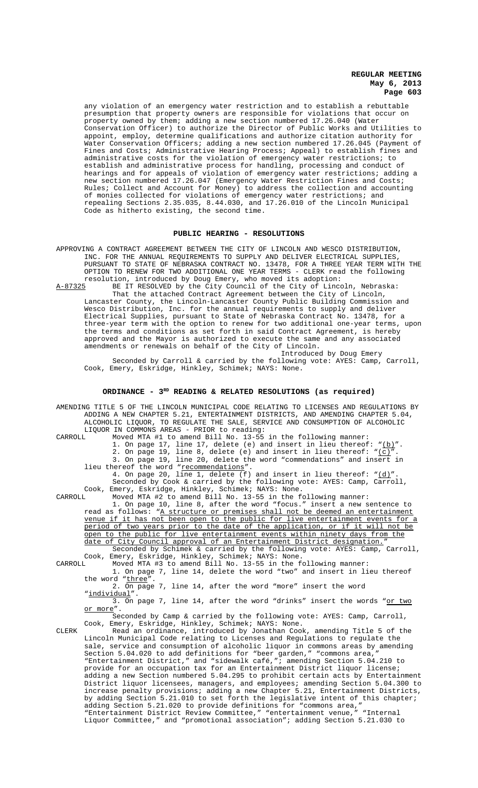any violation of an emergency water restriction and to establish a rebuttable presumption that property owners are responsible for violations that occur on property owned by them; adding a new section numbered 17.26.040 (Water Conservation Officer) to authorize the Director of Public Works and Utilities to appoint, employ, determine qualifications and authorize citation authority for Water Conservation Officers; adding a new section numbered 17.26.045 (Payment of Fines and Costs; Administrative Hearing Process; Appeal) to establish fines and administrative costs for the violation of emergency water restrictions; to establish and administrative process for handling, processing and conduct of hearings and for appeals of violation of emergency water restrictions; adding a new section numbered 17.26.047 (Emergency Water Restriction Fines and Costs; Rules; Collect and Account for Money) to address the collection and accounting of monies collected for violations of emergency water restrictions; and repealing Sections 2.35.035, 8.44.030, and 17.26.010 of the Lincoln Municipal Code as hitherto existing, the second time.

#### **PUBLIC HEARING - RESOLUTIONS**

APPROVING A CONTRACT AGREEMENT BETWEEN THE CITY OF LINCOLN AND WESCO DISTRIBUTION, INC. FOR THE ANNUAL REQUIREMENTS TO SUPPLY AND DELIVER ELECTRICAL SUPPLIES, PURSUANT TO STATE OF NEBRASKA CONTRACT NO. 13478, FOR A THREE YEAR TERM WITH THE OPTION TO RENEW FOR TWO ADDITIONAL ONE YEAR TERMS - CLERK read the following resolution, introduced by Doug Emery, who moved its adoption:<br>A-87325 BE IT RESOLVED by the City Council of the City of Linco

A-87325 BE IT RESOLVED by the City Council of the City of Lincoln, Nebraska: That the attached Contract Agreement between the City of Lincoln, Lancaster County, the Lincoln-Lancaster County Public Building Commission and Wesco Distribution, Inc. for the annual requirements to supply and deliver Electrical Supplies, pursuant to State of Nebraska Contract No. 13478, for a three-year term with the option to renew for two additional one-year terms, upon the terms and conditions as set forth in said Contract Agreement, is hereby approved and the Mayor is authorized to execute the same and any associated amendments or renewals on behalf of the City of Lincoln.

Introduced by Doug Emery Seconded by Carroll & carried by the following vote: AYES: Camp, Carroll, Cook, Emery, Eskridge, Hinkley, Schimek; NAYS: None.

### ORDINANCE - 3<sup>RD</sup> READING & RELATED RESOLUTIONS (as required)

AMENDING TITLE 5 OF THE LINCOLN MUNICIPAL CODE RELATING TO LICENSES AND REGULATIONS BY ADDING A NEW CHAPTER 5.21, ENTERTAINMENT DISTRICTS, AND AMENDING CHAPTER 5.04, ALCOHOLIC LIQUOR, TO REGULATE THE SALE, SERVICE AND CONSUMPTION OF ALCOHOLIC LIQUOR IN COMMONS AREAS - PRIOR to reading: CARROLL Moved MTA #1 to amend Bill No. 13-55 in the following manner: 1. On page 17, line 17, delete (e) and insert in lieu thereof:  $"(\underline{b})".$ 2. On page 19, line 8, delete (e) and insert in lieu thereof:  $"(\underline{c})".$ 3. On page 19, line 20, delete the word "commendations" and insert in lieu thereof the word "recommendations" 4. On page 20, line 1, delete  $(f)$  and insert in lieu thereof: " $(d)$ " Seconded by Cook & carried by the following vote: AYES: Camp, Carroll, Cook, Emery, Eskridge, Hinkley, Schimek; NAYS: None. CARROLL Moved MTA #2 to amend Bill No. 13-55 in the following manner: 1. On page 10, line 8, after the word "focus." insert a new sentence to read as follows: "A structure or premises shall not be deemed an entertainment venue if it has not been open to the public for live entertainment events for a period of two years prior to the date of the application, or if it will not be open to the public for live entertainment events within ninety days from the date of City Council approval of an Entertainment District designation." Seconded by Schimek & carried by the following vote: AYES: Camp, Carroll, Cook, Emery, Eskridge, Hinkley, Schimek; NAYS: None. CARROLL Moved MTA #3 to amend Bill No. 13-55 in the following manner: 1. On page 7, line 14, delete the word "two" and insert in lieu thereof the word "three". 2. On page 7, line 14, after the word "more" insert the word "individual".  $\overline{3.}$  On page 7, line 14, after the word "drinks" insert the words "<u>or two</u> or more". Seconded by Camp & carried by the following vote: AYES: Camp, Carroll, Cook, Emery, Eskridge, Hinkley, Schimek; NAYS: None. CLERK Read an ordinance, introduced by Jonathan Cook, amending Title 5 of the Lincoln Municipal Code relating to Licenses and Regulations to regulate the sale, service and consumption of alcoholic liquor in commons areas by amending Section 5.04.020 to add definitions for "beer garden," "commons area," "Entertainment District," and "sidewalk café,"; amending Section 5.04.210 to provide for an occupation tax for an Entertainment District liquor license; adding a new Section numbered 5.04.295 to prohibit certain acts by Entertainment District liquor licensees, managers, and employees; amending Section 5.04.300 to increase penalty provisions; adding a new Chapter 5.21, Entertainment Districts, by adding Section 5.21.010 to set forth the legislative intent of this chapter; adding Section 5.21.020 to provide definitions for "commons area," "Entertainment District Review Committee," "entertainment venue," "Internal Liquor Committee," and "promotional association"; adding Section 5.21.030 to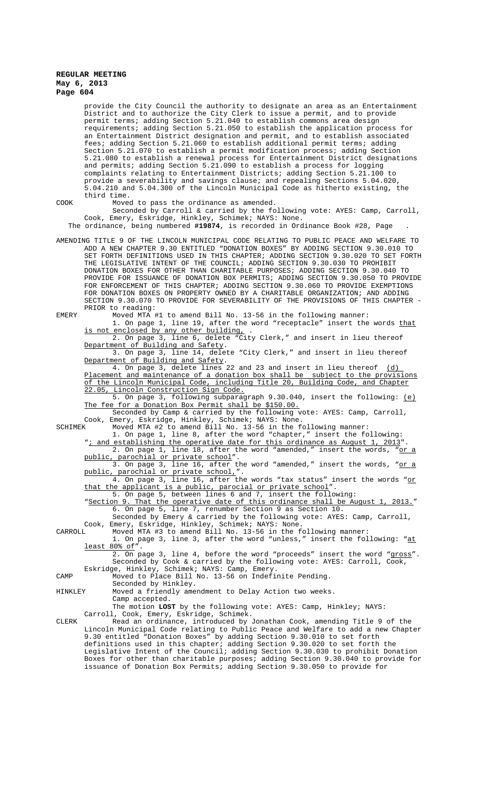provide the City Council the authority to designate an area as an Entertainment District and to authorize the City Clerk to issue a permit, and to provide permit terms; adding Section 5.21.040 to establish commons area design requirements; adding Section 5.21.050 to establish the application process for an Entertainment District designation and permit, and to establish associated fees; adding Section 5.21.060 to establish additional permit terms; adding Section 5.21.070 to establish a permit modification process; adding Section 5.21.080 to establish a renewal process for Entertainment District designations and permits; adding Section 5.21.090 to establish a process for logging complaints relating to Entertainment Districts; adding Section 5.21.100 to provide a severability and savings clause; and repealing Sections 5.04.020, 5.04.210 and 5.04.300 of the Lincoln Municipal Code as hitherto existing, the third time. COOK Moved to pass the ordinance as amended. Seconded by Carroll & carried by the following vote: AYES: Camp, Carroll, Cook, Emery, Eskridge, Hinkley, Schimek; NAYS: None. The ordinance, being numbered **#19874**, is recorded in Ordinance Book #28, Page . AMENDING TITLE 9 OF THE LINCOLN MUNICIPAL CODE RELATING TO PUBLIC PEACE AND WELFARE TO ADD A NEW CHAPTER 9.30 ENTITLED "DONATION BOXES" BY ADDING SECTION 9.30.010 TO SET FORTH DEFINITIONS USED IN THIS CHAPTER; ADDING SECTION 9.30.020 TO SET FORTH THE LEGISLATIVE INTENT OF THE COUNCIL; ADDING SECTION 9.30.030 TO PROHIBIT DONATION BOXES FOR OTHER THAN CHARITABLE PURPOSES; ADDING SECTION 9.30.040 TO PROVIDE FOR ISSUANCE OF DONATION BOX PERMITS; ADDING SECTION 9.30.050 TO PROVIDE FOR ENFORCEMENT OF THIS CHAPTER; ADDING SECTION 9.30.060 TO PROVIDE EXEMPTIONS FOR DONATION BOXES ON PROPERTY OWNED BY A CHARITABLE ORGANIZATION; AND ADDING SECTION 9.30.070 TO PROVIDE FOR SEVERABILITY OF THE PROVISIONS OF THIS CHAPTER - PRIOR to reading: EMERY Moved MTA #1 to amend Bill No. 13-56 in the following manner: 1. On page 1, line 19, after the word "receptacle" insert the words that is not enclosed by any other building, 2. On page 3, line 6, delete "City Clerk," and insert in lieu thereof<br>Department of Building and Safety. of Building and Safety. 3. On page 3, line 14, delete "City Clerk," and insert in lieu thereof Department of Building and Safety. 4. On page 3, delete lines 22 and 23 and insert in lieu thereof (d) Placement and maintenance of a donation box shall be subject to the provisions of the Lincoln Municipal Code, including Title 20, Building Code, and Chapter<br>22.05, Lincoln Construction Sign Code. Lincoln Construction Sign Code. 5. On page 3, following subparagraph 9.30.040, insert the following: (e) The fee for a Donation Box Permit shall be \$150.00. Seconded by Camp & carried by the following vote: AYES: Camp, Carroll, Cook, Emery, Eskridge, Hinkley, Schimek; NAYS: None. SCHIMEK Moved MTA #2 to amend Bill No. 13-56 in the following manner: 1. On page 1, line 8, after the word "chapter," insert the following: "*i* and establishing the operative date for this ordinance as August 1, 2013". 2. On page 1, line 18, after the word "amended," insert the words, "or a public, parochial or private school 3. On page 3, line 16, after the word "amended," insert the words, "or a public, parochial or private school,". parochial or private school, 4. On page 3, line 16, after the words "tax status" insert the words "or that the applicant is a public, parocial or private school". 5. On page 5, between lines 6 and 7, insert the following: "Section 9. That the operative date of this ordinance shall be August 1, 2013." 6. On page 5, line 7, renumber Section 9 as Section 10. Seconded by Emery & carried by the following vote: AYES: Camp, Carroll, Cook, Emery, Eskridge, Hinkley, Schimek; NAYS: None. CARROLL Moved MTA #3 to amend Bill No. 13-56 in the following manner: 1. On page 3, line 3, after the word "unless," insert the following: "at least 80% of 2. On page 3, line 4, before the word "proceeds" insert the word "gross". Seconded by Cook & carried by the following vote: AYES: Carroll, Cook, Eskridge, Hinkley, Schimek; NAYS: Camp, Emery. CAMP Moved to Place Bill No. 13-56 on Indefinite Pending. Seconded by Hinkley. HINKLEY Moved a friendly amendment to Delay Action two weeks. Camp accepted. The motion **LOST** by the following vote: AYES: Camp, Hinkley; NAYS: Carroll, Cook, Emery, Eskridge, Schimek. CLERK Read an ordinance, introduced by Jonathan Cook, amending Title 9 of the Lincoln Municipal Code relating to Public Peace and Welfare to add a new Chapter 9.30 entitled "Donation Boxes" by adding Section 9.30.010 to set forth definitions used in this chapter; adding Section 9.30.020 to set forth the Legislative Intent of the Council; adding Section 9.30.030 to prohibit Donation Boxes for other than charitable purposes; adding Section 9.30.040 to provide for

issuance of Donation Box Permits; adding Section 9.30.050 to provide for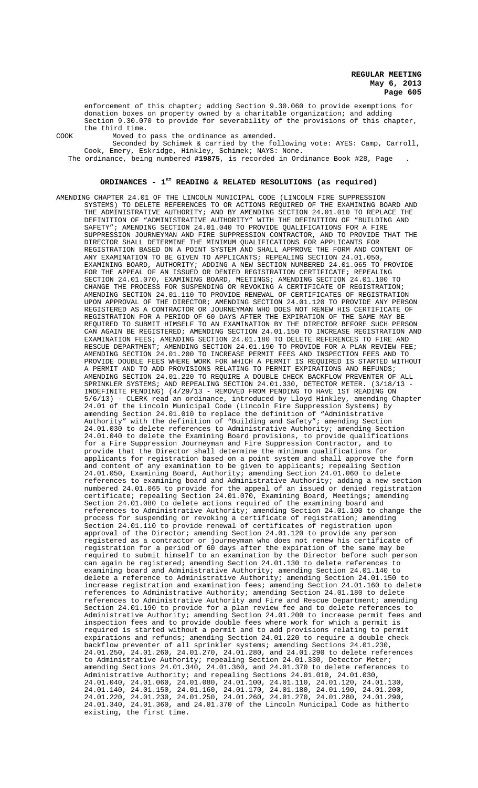enforcement of this chapter; adding Section 9.30.060 to provide exemptions for donation boxes on property owned by a charitable organization; and adding Section 9.30.070 to provide for severability of the provisions of this chapter, the third time.

COOK Moved to pass the ordinance as amended.

Seconded by Schimek & carried by the following vote: AYES: Camp, Carroll, Cook, Emery, Eskridge, Hinkley, Schimek; NAYS: None. The ordinance, being numbered **#19875**, is recorded in Ordinance Book #28, Page .

# **ORDINANCES - 1ST READING & RELATED RESOLUTIONS (as required)**

AMENDING CHAPTER 24.01 OF THE LINCOLN MUNICIPAL CODE (LINCOLN FIRE SUPPRESSION SYSTEMS) TO DELETE REFERENCES TO OR ACTIONS REQUIRED OF THE EXAMINING BOARD AND THE ADMINISTRATIVE AUTHORITY; AND BY AMENDING SECTION 24.01.010 TO REPLACE THE DEFINITION OF "ADMINISTRATIVE AUTHORITY" WITH THE DEFINITION OF "BUILDING AND SAFETY"; AMENDING SECTION 24.01.040 TO PROVIDE QUALIFICATIONS FOR A FIRE SUPPRESSION JOURNEYMAN AND FIRE SUPPRESSION CONTRACTOR, AND TO PROVIDE THAT THE DIRECTOR SHALL DETERMINE THE MINIMUM QUALIFICATIONS FOR APPLICANTS FOR REGISTRATION BASED ON A POINT SYSTEM AND SHALL APPROVE THE FORM AND CONTENT OF ANY EXAMINATION TO BE GIVEN TO APPLICANTS; REPEALING SECTION 24.01.050, EXAMINING BOARD, AUTHORITY; ADDING A NEW SECTION NUMBERED 24.01.065 TO PROVIDE FOR THE APPEAL OF AN ISSUED OR DENIED REGISTRATION CERTIFICATE; REPEALING SECTION 24.01.070, EXAMINING BOARD, MEETINGS; AMENDING SECTION 24.01.100 TO CHANGE THE PROCESS FOR SUSPENDING OR REVOKING A CERTIFICATE OF REGISTRATION; AMENDING SECTION 24.01.110 TO PROVIDE RENEWAL OF CERTIFICATES OF REGISTRATION UPON APPROVAL OF THE DIRECTOR; AMENDING SECTION 24.01.120 TO PROVIDE ANY PERSON REGISTERED AS A CONTRACTOR OR JOURNEYMAN WHO DOES NOT RENEW HIS CERTIFICATE OF REGISTRATION FOR A PERIOD OF 60 DAYS AFTER THE EXPIRATION OF THE SAME MAY BE REQUIRED TO SUBMIT HIMSELF TO AN EXAMINATION BY THE DIRECTOR BEFORE SUCH PERSON CAN AGAIN BE REGISTERED; AMENDING SECTION 24.01.150 TO INCREASE REGISTRATION AND EXAMINATION FEES; AMENDING SECTION 24.01.180 TO DELETE REFERENCES TO FIRE AND RESCUE DEPARTMENT; AMENDING SECTION 24.01.190 TO PROVIDE FOR A PLAN REVIEW FEE; AMENDING SECTION 21.01.1.01 CONTROL OF CHARGE OF THE MAP ASSESSED AND REVIEW FEE:<br>AMENDING SECTION 24.01.200 TO INCREASE PERMIT FEES AND INSPECTION FEES AND TO PROVIDE DOUBLE FEES WHERE WORK FOR WHICH A PERMIT IS REQUIRED IS STARTED WITHOUT A PERMIT AND TO ADD PROVISIONS RELATING TO PERMIT EXPIRATIONS AND REFUNDS; AMENDING SECTION 24.01.220 TO REQUIRE A DOUBLE CHECK BACKFLOW PREVENTER OF ALL SPRINKLER SYSTEMS; AND REPEALING SECTION 24.01.330, DETECTOR METER. (3/18/13 - INDEFINITE PENDING) (4/29/13 - REMOVED FROM PENDING TO HAVE 1ST READING ON 5/6/13) - CLERK read an ordinance, introduced by Lloyd Hinkley, amending Chapter 24.01 of the Lincoln Municipal Code (Lincoln Fire Suppression Systems) by amending Section 24.01.010 to replace the definition of "Administrative Authority" with the definition of "Building and Safety"; amending Section 24.01.030 to delete references to Administrative Authority; amending Section 24.01.040 to delete the Examining Board provisions, to provide qualifications for a Fire Suppression Journeyman and Fire Suppression Contractor, and to provide that the Director shall determine the minimum qualifications for applicants for registration based on a point system and shall approve the form and content of any examination to be given to applicants; repealing Section 24.01.050, Examining Board, Authority; amending Section 24.01.060 to delete references to examining board and Administrative Authority; adding a new section numbered 24.01.065 to provide for the appeal of an issued or denied registration certificate; repealing Section 24.01.070, Examining Board, Meetings; amending Section 24.01.080 to delete actions required of the examining board and references to Administrative Authority; amending Section 24.01.100 to change the process for suspending or revoking a certificate of registration; amending Section 24.01.110 to provide renewal of certificates of registration upon approval of the Director; amending Section 24.01.120 to provide any person registered as a contractor or journeyman who does not renew his certificate of registration for a period of 60 days after the expiration of the same may be required to submit himself to an examination by the Director before such person can again be registered; amending Section 24.01.130 to delete references to examining board and Administrative Authority; amending Section 24.01.140 to delete a reference to Administrative Authority; amending Section 24.01.150 to increase registration and examination fees; amending Section 24.01.160 to delete references to Administrative Authority; amending Section 24.01.180 to delete references to Administrative Authority and Fire and Rescue Department; amending Section 24.01.190 to provide for a plan review fee and to delete references to Administrative Authority; amending Section 24.01.200 to increase permit fees and inspection fees and to provide double fees where work for which a permit is required is started without a permit and to add provisions relating to permit expirations and refunds; amending Section 24.01.220 to require a double check backflow preventer of all sprinkler systems; amending Sections 24.01.230, 24.01.250, 24.01.260, 24.01.270, 24.01.280, and 24.01.290 to delete references to Administrative Authority; repealing Section 24.01.330, Detector Meter; amending Sections 24.01.340, 24.01.360, and 24.01.370 to delete references to Administrative Authority; and repealing Sections 24.01.010, 24.01.030, 24.01.040, 24.01.060, 24.01.080, 24.01.100, 24.01.110, 24.01.120, 24.01.130, 24.01.140, 24.01.150, 24.01.160, 24.01.170, 24.01.180, 24.01.190, 24.01.200, 24.01.220, 24.01.230, 24.01.250, 24.01.260, 24.01.270, 24.01.280, 24.01.290, 24.01.340, 24.01.360, and 24.01.370 of the Lincoln Municipal Code as hitherto existing, the first time.